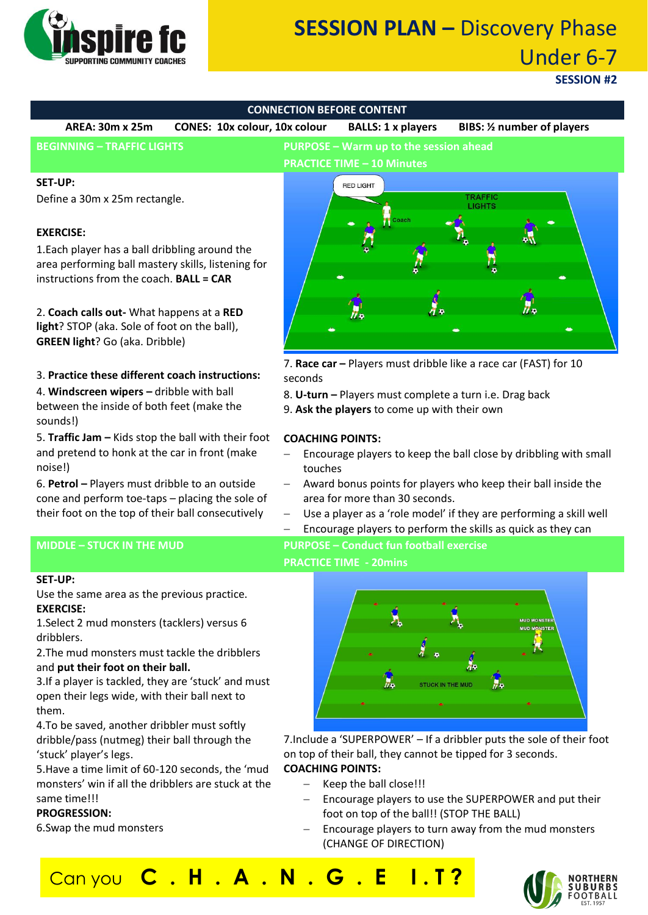

# **SESSION PLAN –** Discovery Phase Under 6-7

# **SESSION #2**



touches

**PRACTICE TIME - 20mins**

area for more than 30 seconds.

- and pretend to honk at the car in front (make noise!)
- 6. **Petrol –** Players must dribble to an outside cone and perform toe-taps – placing the sole of their foot on the top of their ball consecutively

#### **MIDDLE – STUCK IN THE MUD PURPOSE – Conduct fun football exercise**

#### **SET-UP:**

Use the same area as the previous practice. **EXERCISE:**

1.Select 2 mud monsters (tacklers) versus 6 dribblers.

2.The mud monsters must tackle the dribblers and **put their foot on their ball.**

3.If a player is tackled, they are 'stuck' and must open their legs wide, with their ball next to them.

4.To be saved, another dribbler must softly dribble/pass (nutmeg) their ball through the 'stuck' player's legs.

5.Have a time limit of 60-120 seconds, the 'mud monsters' win if all the dribblers are stuck at the same time!!!

#### **PROGRESSION:**

6.Swap the mud monsters



− Award bonus points for players who keep their ball inside the

Use a player as a 'role model' if they are performing a skill well Encourage players to perform the skills as quick as they can

7.Include a 'SUPERPOWER' – If a dribbler puts the sole of their foot on top of their ball, they cannot be tipped for 3 seconds. **COACHING POINTS:**

- Keep the ball close!!!
- Encourage players to use the SUPERPOWER and put their foot on top of the ball!! (STOP THE BALL)
- Encourage players to turn away from the mud monsters (CHANGE OF DIRECTION)